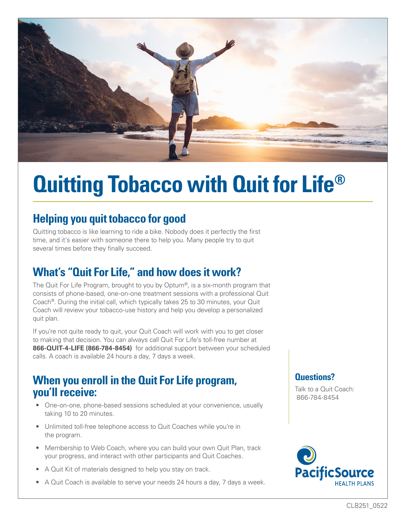

# **Quitting Tobacco with Quit for Life®**

# **Helping you quit tobacco for good**

Quitting tobacco is like learning to ride a bike. Nobody does it perfectly the first time, and it's easier with someone there to help you. Many people try to quit several times before they finally succeed.

### **What's "Quit For Life," and how does it work?**

The Quit For Life Program, brought to you by Optum®, is a six-month program that consists of phone-based, one-on-one treatment sessions with a professional Quit Coach®. During the initial call, which typically takes 25 to 30 minutes, your Quit Coach will review your tobacco-use history and help you develop a personalized quit plan.

If you're not quite ready to quit, your Quit Coach will work with you to get closer to making that decision. You can always call Quit For Life's toll-free number at **866-QUIT-4-LIFE (866-784-8454)** for additional support between your scheduled calls. A coach is available 24 hours a day, 7 days a week.

#### **When you enroll in the Quit For Life program, you'll receive:**

- One-on-one, phone-based sessions scheduled at your convenience, usually taking 10 to 20 minutes.
- Unlimited toll-free telephone access to Quit Coaches while you're in the program.
- Membership to Web Coach, where you can build your own Quit Plan, track your progress, and interact with other participants and Quit Coaches.
- A Quit Kit of materials designed to help you stay on track.
- A Quit Coach is available to serve your needs 24 hours a day, 7 days a week.

#### **Questions?**

Talk to a Quit Coach: 866-784-8454